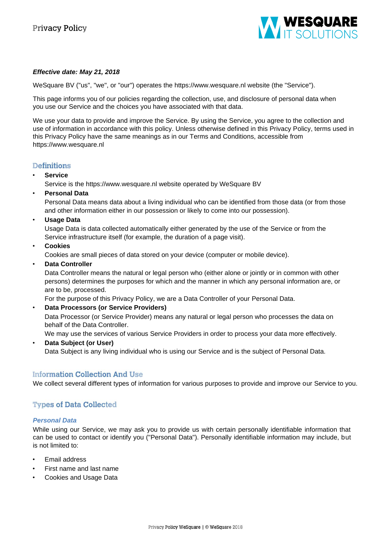

## *Effective date: May 21, 2018*

WeSquare BV ("us", "we", or "our") operates the https://www.wesquare.nl website (the "Service").

This page informs you of our policies regarding the collection, use, and disclosure of personal data when you use our Service and the choices you have associated with that data.

We use your data to provide and improve the Service. By using the Service, you agree to the collection and use of information in accordance with this policy. Unless otherwise defined in this Privacy Policy, terms used in this Privacy Policy have the same meanings as in our Terms and Conditions, accessible from https://www.wesquare.nl

## **Definitions**

• **Service**

Service is the https://www.wesquare.nl website operated by WeSquare BV

• **Personal Data**

Personal Data means data about a living individual who can be identified from those data (or from those and other information either in our possession or likely to come into our possession).

• **Usage Data**

Usage Data is data collected automatically either generated by the use of the Service or from the Service infrastructure itself (for example, the duration of a page visit).

• **Cookies**

Cookies are small pieces of data stored on your device (computer or mobile device).

• **Data Controller**

Data Controller means the natural or legal person who (either alone or jointly or in common with other persons) determines the purposes for which and the manner in which any personal information are, or are to be, processed.

For the purpose of this Privacy Policy, we are a Data Controller of your Personal Data.

- **Data Processors (or Service Providers)** Data Processor (or Service Provider) means any natural or legal person who processes the data on behalf of the Data Controller. We may use the services of various Service Providers in order to process your data more effectively.
- **Data Subject (or User)**

Data Subject is any living individual who is using our Service and is the subject of Personal Data.

## **Information Collection And Use**

We collect several different types of information for various purposes to provide and improve our Service to you.

# **Types of Data Collected**

### *Personal Data*

While using our Service, we may ask you to provide us with certain personally identifiable information that can be used to contact or identify you ("Personal Data"). Personally identifiable information may include, but is not limited to:

- Email address
- First name and last name
- Cookies and Usage Data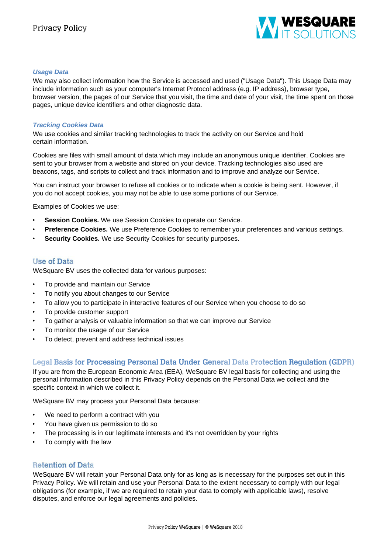

## *Usage Data*

We may also collect information how the Service is accessed and used ("Usage Data"). This Usage Data may include information such as your computer's Internet Protocol address (e.g. IP address), browser type, browser version, the pages of our Service that you visit, the time and date of your visit, the time spent on those pages, unique device identifiers and other diagnostic data.

## *Tracking Cookies Data*

We use cookies and similar tracking technologies to track the activity on our Service and hold certain information.

Cookies are files with small amount of data which may include an anonymous unique identifier. Cookies are sent to your browser from a website and stored on your device. Tracking technologies also used are beacons, tags, and scripts to collect and track information and to improve and analyze our Service.

You can instruct your browser to refuse all cookies or to indicate when a cookie is being sent. However, if you do not accept cookies, you may not be able to use some portions of our Service.

Examples of Cookies we use:

- **Session Cookies.** We use Session Cookies to operate our Service.
- **Preference Cookies.** We use Preference Cookies to remember your preferences and various settings.
- **Security Cookies.** We use Security Cookies for security purposes.

# **Use of Data**

WeSquare BV uses the collected data for various purposes:

- To provide and maintain our Service
- To notify you about changes to our Service
- To allow you to participate in interactive features of our Service when you choose to do so
- To provide customer support
- To gather analysis or valuable information so that we can improve our Service
- To monitor the usage of our Service
- To detect, prevent and address technical issues

# Legal Basis for Processing Personal Data Under General Data Protection Regulation (GDPR)

If you are from the European Economic Area (EEA), WeSquare BV legal basis for collecting and using the personal information described in this Privacy Policy depends on the Personal Data we collect and the specific context in which we collect it.

WeSquare BV may process your Personal Data because:

- We need to perform a contract with you
- You have given us permission to do so
- The processing is in our legitimate interests and it's not overridden by your rights
- To comply with the law

# **Retention of Data**

WeSquare BV will retain your Personal Data only for as long as is necessary for the purposes set out in this Privacy Policy. We will retain and use your Personal Data to the extent necessary to comply with our legal obligations (for example, if we are required to retain your data to comply with applicable laws), resolve disputes, and enforce our legal agreements and policies.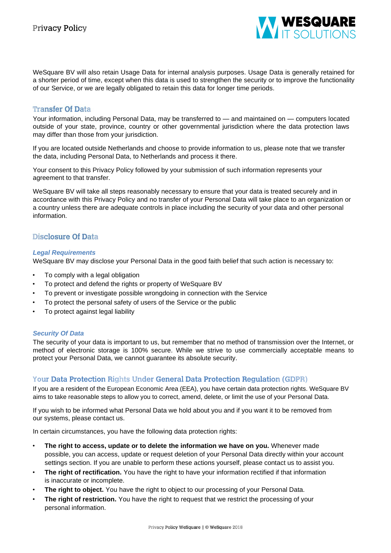

WeSquare BV will also retain Usage Data for internal analysis purposes. Usage Data is generally retained for a shorter period of time, except when this data is used to strengthen the security or to improve the functionality of our Service, or we are legally obligated to retain this data for longer time periods.

## **Transfer Of Data**

Your information, including Personal Data, may be transferred to — and maintained on — computers located outside of your state, province, country or other governmental jurisdiction where the data protection laws may differ than those from your jurisdiction.

If you are located outside Netherlands and choose to provide information to us, please note that we transfer the data, including Personal Data, to Netherlands and process it there.

Your consent to this Privacy Policy followed by your submission of such information represents your agreement to that transfer.

WeSquare BV will take all steps reasonably necessary to ensure that your data is treated securely and in accordance with this Privacy Policy and no transfer of your Personal Data will take place to an organization or a country unless there are adequate controls in place including the security of your data and other personal information.

## **Disclosure Of Data**

### *Legal Requirements*

WeSquare BV may disclose your Personal Data in the good faith belief that such action is necessary to:

- To comply with a legal obligation
- To protect and defend the rights or property of WeSquare BV
- To prevent or investigate possible wrongdoing in connection with the Service
- To protect the personal safety of users of the Service or the public
- To protect against legal liability

## *Security Of Data*

The security of your data is important to us, but remember that no method of transmission over the Internet, or method of electronic storage is 100% secure. While we strive to use commercially acceptable means to protect your Personal Data, we cannot guarantee its absolute security.

# Your Data Protection Rights Under General Data Protection Regulation (GDPR)

If you are a resident of the European Economic Area (EEA), you have certain data protection rights. WeSquare BV aims to take reasonable steps to allow you to correct, amend, delete, or limit the use of your Personal Data.

If you wish to be informed what Personal Data we hold about you and if you want it to be removed from our systems, please contact us.

In certain circumstances, you have the following data protection rights:

- **The right to access, update or to delete the information we have on you.** Whenever made possible, you can access, update or request deletion of your Personal Data directly within your account settings section. If you are unable to perform these actions yourself, please contact us to assist you.
- **The right of rectification.** You have the right to have your information rectified if that information is inaccurate or incomplete.
- The right to object. You have the right to object to our processing of your Personal Data.
- **The right of restriction.** You have the right to request that we restrict the processing of your personal information.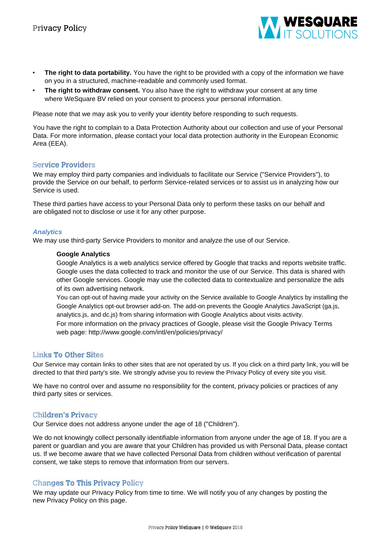

- **The right to data portability.** You have the right to be provided with a copy of the information we have on you in a structured, machine-readable and commonly used format.
- **The right to withdraw consent.** You also have the right to withdraw your consent at any time where WeSquare BV relied on your consent to process your personal information.

Please note that we may ask you to verify your identity before responding to such requests.

You have the right to complain to a Data Protection Authority about our collection and use of your Personal Data. For more information, please contact your local data protection authority in the European Economic Area (EEA).

## **Service Providers**

We may employ third party companies and individuals to facilitate our Service ("Service Providers"), to provide the Service on our behalf, to perform Service-related services or to assist us in analyzing how our Service is used.

These third parties have access to your Personal Data only to perform these tasks on our behalf and are obligated not to disclose or use it for any other purpose.

### *Analytics*

We may use third-party Service Providers to monitor and analyze the use of our Service.

### **Google Analytics**

Google Analytics is a web analytics service offered by Google that tracks and reports website traffic. Google uses the data collected to track and monitor the use of our Service. This data is shared with other Google services. Google may use the collected data to contextualize and personalize the ads of its own advertising network.

You can opt-out of having made your activity on the Service available to Google Analytics by installing the Google Analytics opt-out browser add-on. The add-on prevents the Google Analytics JavaScript (ga.js, analytics.js, and dc.js) from sharing information with Google Analytics about visits activity.

For more information on the privacy practices of Google, please visit the Google Privacy Terms web page:<http://www.google.com/intl/en/policies/privacy/>

### **Links To Other Sites**

Our Service may contain links to other sites that are not operated by us. If you click on a third party link, you will be directed to that third party's site. We strongly advise you to review the Privacy Policy of every site you visit.

We have no control over and assume no responsibility for the content, privacy policies or practices of any third party sites or services.

### **Children's Privacy**

Our Service does not address anyone under the age of 18 ("Children").

We do not knowingly collect personally identifiable information from anyone under the age of 18. If you are a parent or guardian and you are aware that your Children has provided us with Personal Data, please contact us. If we become aware that we have collected Personal Data from children without verification of parental consent, we take steps to remove that information from our servers.

## **Changes To This Privacy Policy**

We may update our Privacy Policy from time to time. We will notify you of any changes by posting the new Privacy Policy on this page.